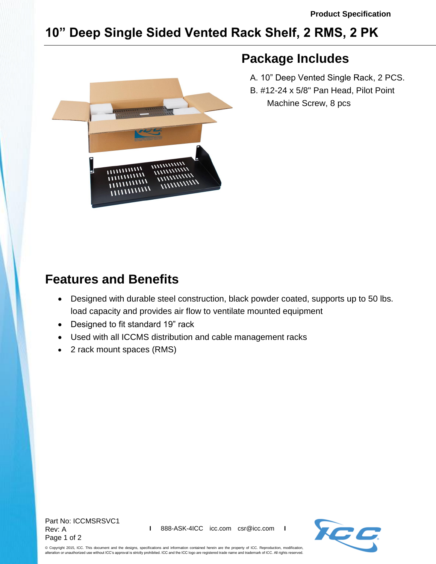## **10" Deep Single Sided Vented Rack Shelf, 2 RMS, 2 PK**



## **Package Includes**

 A. 10" Deep Vented Single Rack, 2 PCS. B. #12-24 x 5/8" Pan Head, Pilot Point Machine Screw, 8 pcs

## **Features and Benefits**

- Designed with durable steel construction, black powder coated, supports up to 50 lbs. load capacity and provides air flow to ventilate mounted equipment
- Designed to fit standard 19" rack
- Used with all ICCMS distribution and cable management racks
- 2 rack mount spaces (RMS)

Part No: ICCMSRSVC1 Rev: A Page 1 of 2



© Copyright 2015, ICC. This document and the designs, specifications and information contained herein are the property of ICC. Reproduction, modification, alteration or unauthorized use without ICC's approval is strictly prohibited. ICC and the ICC logo are registered trade name and trademark of ICC. All rights reserved.